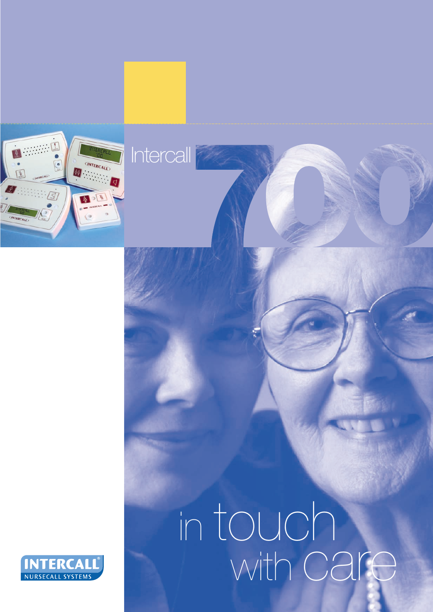

# in touch with Care

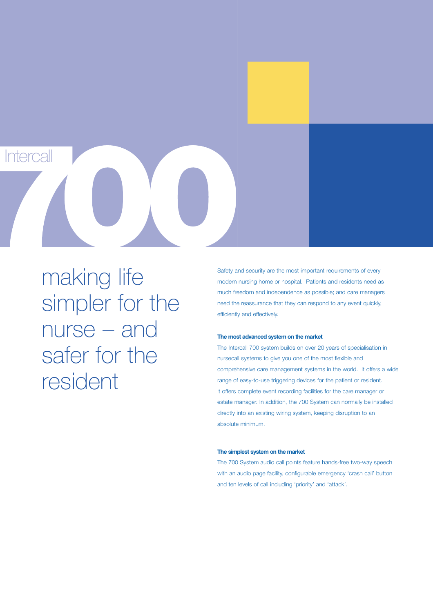making life simpler for the nurse – and safer for the resident

**Intercall** 

Safety and security are the most important requirements of every modern nursing home or hospital. Patients and residents need as much freedom and independence as possible; and care managers need the reassurance that they can respond to any event quickly, efficiently and effectively.

#### **The most advanced system on the market**

The Intercall 700 system builds on over 20 years of specialisation in nursecall systems to give you one of the most flexible and comprehensive care management systems in the world. It offers a wide range of easy-to-use triggering devices for the patient or resident. It offers complete event recording facilities for the care manager or estate manager. In addition, the 700 System can normally be installed directly into an existing wiring system, keeping disruption to an absolute minimum.

#### **The simplest system on the market**

The 700 System audio call points feature hands-free two-way speech with an audio page facility, configurable emergency 'crash call' button and ten levels of call including 'priority' and 'attack'.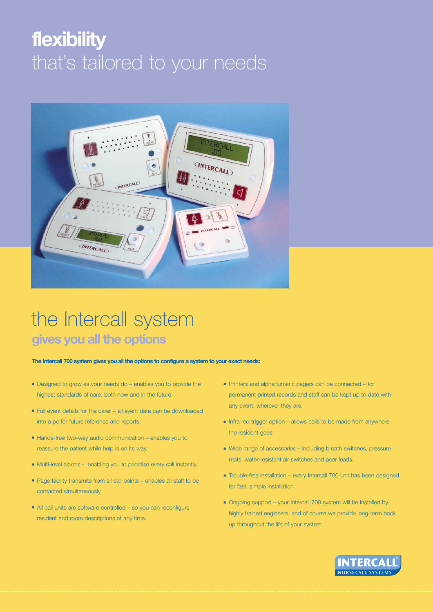# **flexibility** that's tailored to your needs



## the Intercall system **gives you all the options**

**The Intercall 700 system gives you all the options to configure a system to your exact needs:**

- Designed to grow as your needs do enables you to provide the highest standards of care, both now and in the future.
- Full event details for the carer all event data can be downloaded into a pc for future reference and reports.
- Hands-free two-way audio communication enables you to reassure the patient while help is on its way.
- Multi-level alarms enabling you to prioritise every call instantly.
- Page facility transmits from all call points enables all staff to be contacted simultaneously.
- All call units are software controlled so you can reconfigure resident and room descriptions at any time.
- Printers and alphanumeric pagers can be connected for permanent printed records and staff can be kept up to date with any event, wherever they are.
- Infra red trigger option allows calls to be made from anywhere the resident goes
- Wide range of accessories including breath switches, pressure mats, water-resistant air switches and pear leads.
- Trouble-free installation every Intercall 700 unit has been designed for fast, simple installation.
- Ongoing support your Intercall 700 system will be installed by highly trained engineers, and of course we provide long-term back up throughout the life of your system.

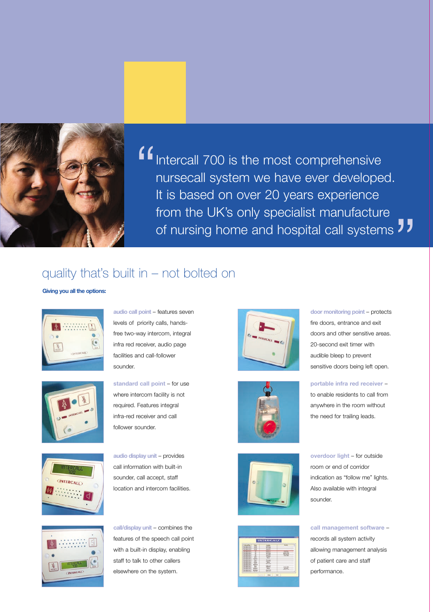

Intercall 700 is the most comprehensive nursecall system we have ever developed. It is based on over 20 years experience from the UK's only specialist manufacture of nursing home and hospital call systems " "

### quality that's built in – not bolted on

**Giving you all the options:**





**audio call point** – features seven levels of priority calls, handsfree two-way intercom, integral infra red receiver, audio page facilities and call-follower sounder.

**standard call point** – for use where intercom facility is not required. Features integral infra-red receiver and call follower sounder.



**audio display unit** – provides call information with built-in sounder, call accept, staff location and intercom facilities.



**call/display unit** – combines the features of the speech call point with a built-in display, enabling staff to talk to other callers elsewhere on the system.









**door monitoring point** – protects fire doors, entrance and exit doors and other sensitive areas. 20-second exit timer with audible bleep to prevent sensitive doors being left open.

**portable infra red receiver** –

to enable residents to call from anywhere in the room without the need for trailing leads.

**overdoor light** – for outside room or end of corridor indication as "follow me" lights. Also available with integral sounder.

**call management software** – records all system activity allowing management analysis of patient care and staff performance.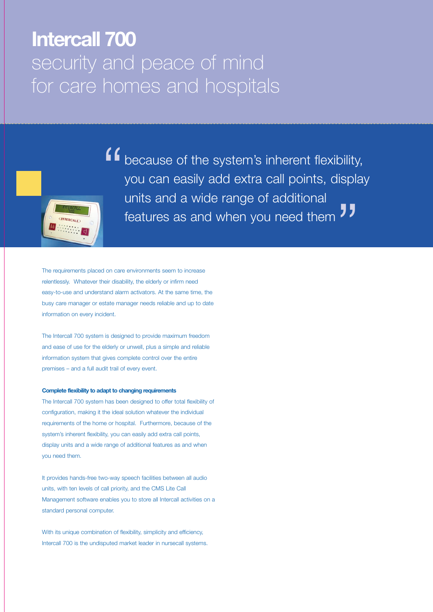## **Intercall 700** security and peace of mind for care homes and hospitals

because of the system's inherent flexibility, you can easily add extra call points, display units and a wide range of additional features as and when you need them "<br>"<br>" "

The requirements placed on care environments seem to increase relentlessly. Whatever their disability, the elderly or infirm need easy-to-use and understand alarm activators. At the same time, the busy care manager or estate manager needs reliable and up to date information on every incident.

The Intercall 700 system is designed to provide maximum freedom and ease of use for the elderly or unwell, plus a simple and reliable information system that gives complete control over the entire premises – and a full audit trail of every event.

#### **Complete flexibility to adapt to changing requirements**

The Intercall 700 system has been designed to offer total flexibility of configuration, making it the ideal solution whatever the individual requirements of the home or hospital. Furthermore, because of the system's inherent flexibility, you can easily add extra call points, display units and a wide range of additional features as and when you need them.

It provides hands-free two-way speech facilities between all audio units, with ten levels of call priority, and the CMS Lite Call Management software enables you to store all Intercall activities on a standard personal computer.

With its unique combination of flexibility, simplicity and efficiency, Intercall 700 is the undisputed market leader in nursecall systems.